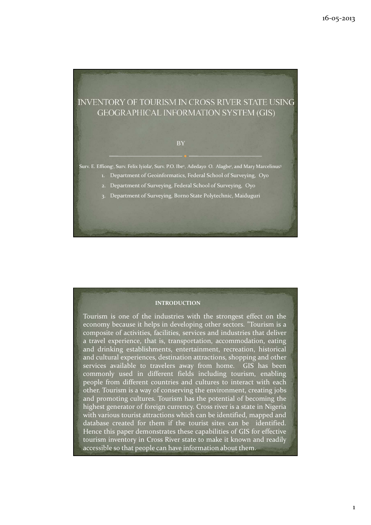# **INVENTORY OF TOURISM IN CROSS RIVER STATE USING GEOGRAPHICAL INFORMATION SYSTEM (GIS)**

#### **BY**

Surv. E. Effiong<sup>,</sup> Surv. Felix Iyiola<sup>,</sup> Surv. P.O. Ibe<sup>2</sup>, Adedayo O. Alagbe<sup>,</sup> and Mary Marcelinus<sup>3</sup>

- 1. Department of Geoinformatics, Federal School of Surveying, Oyo
- 2. Department of Surveying, Federal School of Surveying, Oyo
- 3. Department of Surveying, Borno State Polytechnic, Maiduguri

### INTRODUCTION

Tourism is one of the industries with the strongest effect on the economy because it helps in developing other sectors. "Tourism is a composite of activities, facilities, services and industries that deliver a travel experience, that is, transportation, accommodation, eating and drinking establishments, entertainment, recreation, historical and cultural experiences, destination attractions, shopping and other services available to travelers away from home. GIS has been commonly used in different fields including tourism, enabling people from different countries and cultures to interact with each other. Tourism is a way of conserving the environment, creating jobs and promoting cultures. Tourism has the potential of becoming the highest generator of foreign currency. Cross river is a state in Nigeria with various tourist attractions which can be identified, mapped and database created for them if the tourist sites can be identified. Hence this paper demonstrates these capabilities of GIS for effective tourism inventory in Cross River state to make it known and readily accessible so that people can have information about them.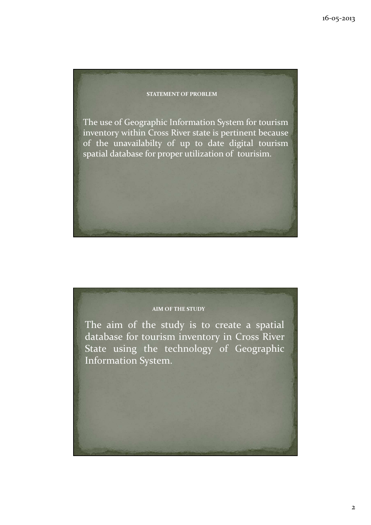#### STATEMENT OF PROBLEM

The use of Geographic Information System for tourism inventory within Cross River state is pertinent because of the unavailabilty of up to date digital tourism spatial database for proper utilization of tourisim.

## AIM OF THE STUDY

The aim of the study is to create a spatial database for tourism inventory in Cross River State using the technology of Geographic Information System.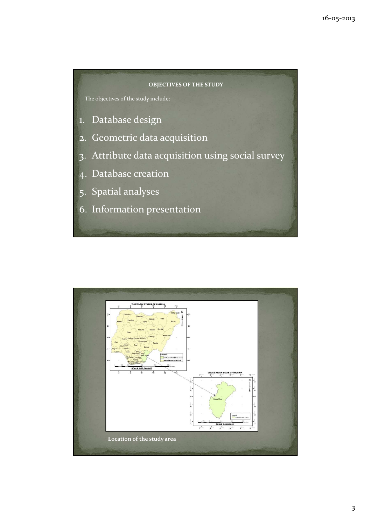#### OBJECTIVES OF THE STUDY

The objectives of the study include:

- 1. Database design
- 2. Geometric data acquisition
- 3. Attribute data acquisition using social survey
- 4. Database creation
- 5. Spatial analyses
- 6. Information presentation

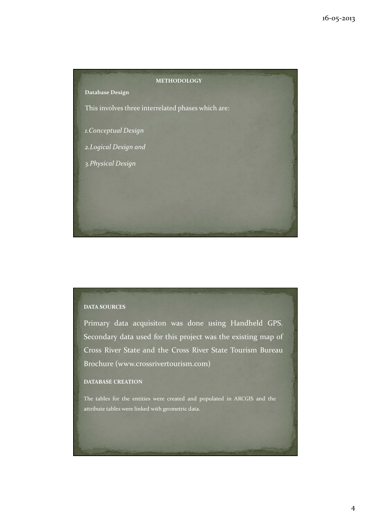

## DATA SOURCES

Primary data acquisiton was done using Handheld GPS. Secondary data used for this project was the existing map of Cross River State and the Cross River State Tourism Bureau Brochure (www.crossrivertourism.com)

#### DATABASE CREATION

The tables for the entities were created and populated in ARCGIS and the attribute tables were linked with geometric data.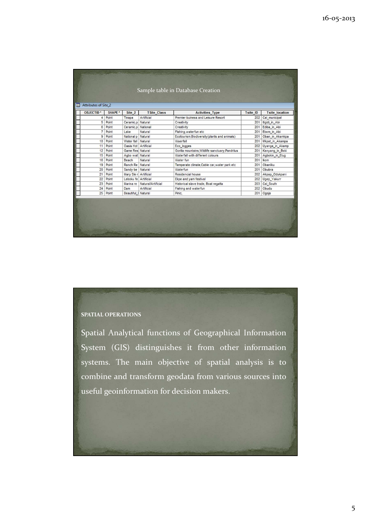| <b>OBJECTID*</b> | SHAPE * | Site <sub>2</sub>     | <b>TSite_Class</b> | <b>Activities Type</b>                           | <b>Tsite ID</b> | <b>Tsite location</b> |
|------------------|---------|-----------------------|--------------------|--------------------------------------------------|-----------------|-----------------------|
| 4                | Point   | Tinapa                | Artificial         | Premier buiness and Leisure Resort               | 202             | Cal municipal         |
| 5                | Point   | Ceramic,p Natural     |                    | Creativity                                       | 201             | Itigidi in Abi        |
| 6                | Point   | Ceramic.p National    |                    | Creativity                                       | 201             | Ediba in Abi          |
| $\overline{7}$   | Point   | Lake                  | Natural            | Fishing, waterfun etc                            | 201             | Ebom in Abi           |
| 9                | Point   | National p            | Natural            | Ecotourism.Biodiversity(plants and animals)      | 201             | Oban_in_Akamkpa       |
| 10               | Point   | Water fall   Natural  |                    | Waerfall                                         | 201             | Mkpat_in_Akampa       |
| 11               | Point   | Oasis Hot Artificial  |                    | Eco_logges                                       | 202             | Uyanga_in_Akamp       |
| 12               | Point   | Game Res Natural      |                    | Gorilla mountains, Wildlife sanctuary, Pandrilus | 201             | Kanyang in Boki       |
| 15               | Point   | Agbo wat Natural      |                    | Waterfall with different colours                 | 201             | Agbokin_in_Etug       |
| 16               | Point   | Beach                 | Natural            | Water fun                                        | 201             | Ikom                  |
| 19               | Point   | Ranch Re Natural      |                    | Temperate climate, Cable car, water park etc     | 201             | Obanliku              |
| 20               | Point   | Sandy be Natural      |                    | Waterfun                                         | 201             | Obubra                |
| 21               | Point   | Mary Sle r Artificial |                    | Residencial house                                | 202             | Akpap_Odukpani        |
| 22               | Point   | Leboku fe Artificial  |                    | Ekpe and yam festival                            | 202             | Ugep_Yakurr           |
| 23               | Point   | Marina re             | Natural/Artificial | Historical slave trade, Boat regatta             | 203             | Cal South             |
| 24               | Point   | Dam                   | Artificial         | Fishing and waterfun                             | 202             | Obudu                 |
| 25               | Point   | Beautiful_I Natural   |                    | Pinic.                                           | 201             | Ogoja                 |

## SPATIAL OPERATIONS

Spatial Analytical functions of Geographical Information System (GIS) distinguishes it from other information systems. The main objective of spatial analysis is to combine and transform geodata from various sources into useful geoinformation for decision makers.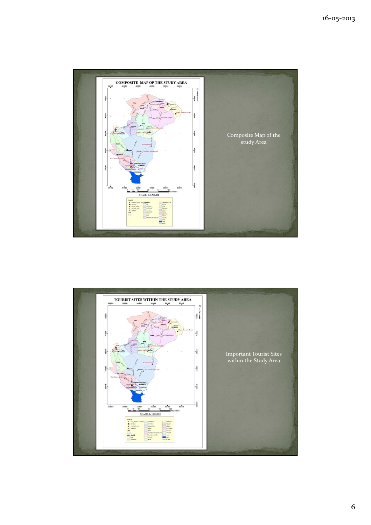

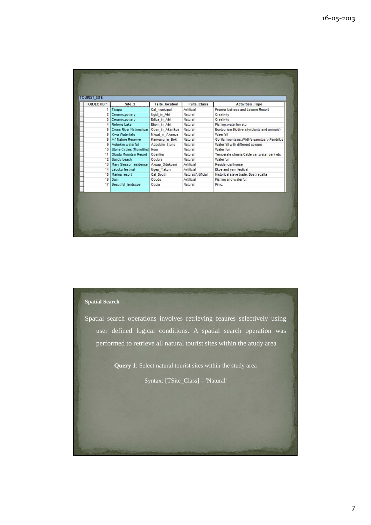| <b>OBJECTID</b> * | Site 2                       | <b>Tsite location</b> | <b>TSite Class</b> | <b>Activities Type</b>                           |  |
|-------------------|------------------------------|-----------------------|--------------------|--------------------------------------------------|--|
| 1                 | Tinapa                       | Cal municipal         | Artificial         | Premier buiness and Leisure Resort               |  |
| 2 <sup>1</sup>    | Ceramic, pottery             | Itigidi in Abi        | Natural            | Creativity                                       |  |
| 3 <sup>1</sup>    | Ceramic, pottery             | Ediba_in_Abi          | Natural            | Creativity                                       |  |
| 4                 | Refome Lake                  | Ebom_in_Abi           | Natural            | Fishing, waterfun etc                            |  |
| 5                 | Cross River National par     | Oban in Akamkpa       | Natural            | Ecotourism.Biodiversity(plants and animals)      |  |
| 6                 | <b>Kwa Waterfalls</b>        | Mkpat_in_Akampa       | Natural            | Waerfall                                         |  |
|                   | 8 Afi Nature Reserve         | Kanyang in Boki       | Natural            | Gorilla mountains, Wildlife sanctuary, Pandrilus |  |
| 9 <sup>1</sup>    | Agbokim waterfall            | Agboki in_Etung       | Natural            | Waterfall with different colours                 |  |
|                   | 10 Stone Circles (Monoliths) | Ikom                  | Natural            | Water fun                                        |  |
| 11 <sup>1</sup>   | Obudu Mountain Resort        | Obanliku              | Natural            | Temperate climate, Cable car, water park etc     |  |
|                   | 12 Sandy beach               | Obubra                | Natural            | Waterfun                                         |  |
| 13                | Mary Slessor residence       | Akpap_Odukpani        | Artificial         | Residencial house                                |  |
| 14                | Leboku festival              | Ugep_Yakurr           | Artificial         | Ekpe and yam festival                            |  |
| 15                | Marina resort                | Cal South             | Natural/Artificial | Historical slave trade, Boat regatta             |  |
| 16                | Dam                          | Obudu                 | Artificial         | Fishing and waterfun                             |  |
| 17                | <b>Beautiful landscpe</b>    | Ogoja                 | Natural            | Pinic.                                           |  |
|                   |                              |                       |                    |                                                  |  |

### **Spatial Search**

Spatial search operations involves retrieving feaures selectively using user defined logical conditions. A spatial search operation was performed to retrieve all natural tourist sites within the atudy area

**Query 1**: Select natural tourist sites within the study area

Syntax: [TSite\_Class] = 'Natural'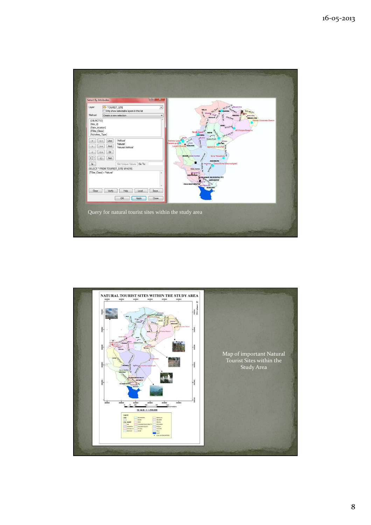

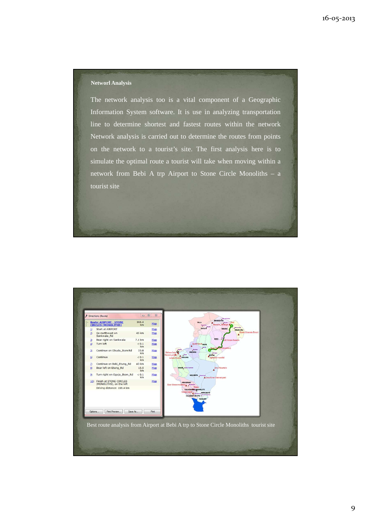#### **Networl Analysis**

The network analysis too is a vital component of a Geographic Information System software. It is use in analyzing transportation line to determine shortest and fastest routes within the network Network analysis is carried out to determine the routes from points on the network to a tourist's site. The first analysis here is to simulate the optimal route a tourist will take when moving within a network from Bebi A trp Airport to Stone Circle Monoliths – a tourist site

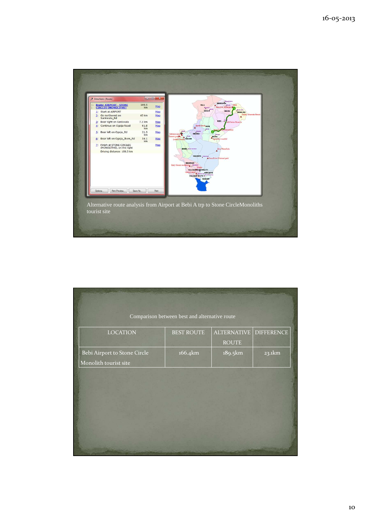

| Comparison between best and alternative route |                   |                    |                   |  |  |  |  |  |
|-----------------------------------------------|-------------------|--------------------|-------------------|--|--|--|--|--|
| <b>LOCATION</b>                               | <b>BEST ROUTE</b> | <b>ALTERNATIVE</b> | <b>DIFFERENCE</b> |  |  |  |  |  |
|                                               |                   | <b>ROUTE</b>       |                   |  |  |  |  |  |
| Bebi Airport to Stone Circle                  | 166.4km           | 189.5km            | 23.1km            |  |  |  |  |  |
| Monolith tourist site                         |                   |                    |                   |  |  |  |  |  |
|                                               |                   |                    |                   |  |  |  |  |  |
|                                               |                   |                    |                   |  |  |  |  |  |
|                                               |                   |                    |                   |  |  |  |  |  |
|                                               |                   |                    |                   |  |  |  |  |  |
|                                               |                   |                    |                   |  |  |  |  |  |
|                                               |                   |                    |                   |  |  |  |  |  |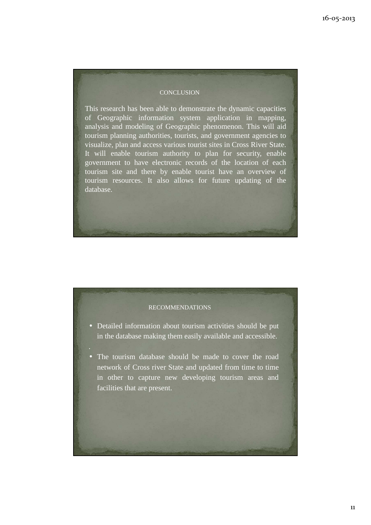#### **CONCLUSION**

This research has been able to demonstrate the dynamic capacities of Geographic information system application in mapping, analysis and modeling of Geographic phenomenon. This will aid tourism planning authorities, tourists, and government agencies to visualize, plan and access various tourist sites in Cross River State. It will enable tourism authority to plan for security, enable government to have electronic records of the location of each tourism site and there by enable tourist have an overview of tourism resources. It also allows for future updating of the database.

#### RECOMMENDATIONS

- Detailed information about tourism activities should be put in the database making them easily available and accessible.
- The tourism database should be made to cover the road network of Cross river State and updated from time to time in other to capture new developing tourism areas and facilities that are present.